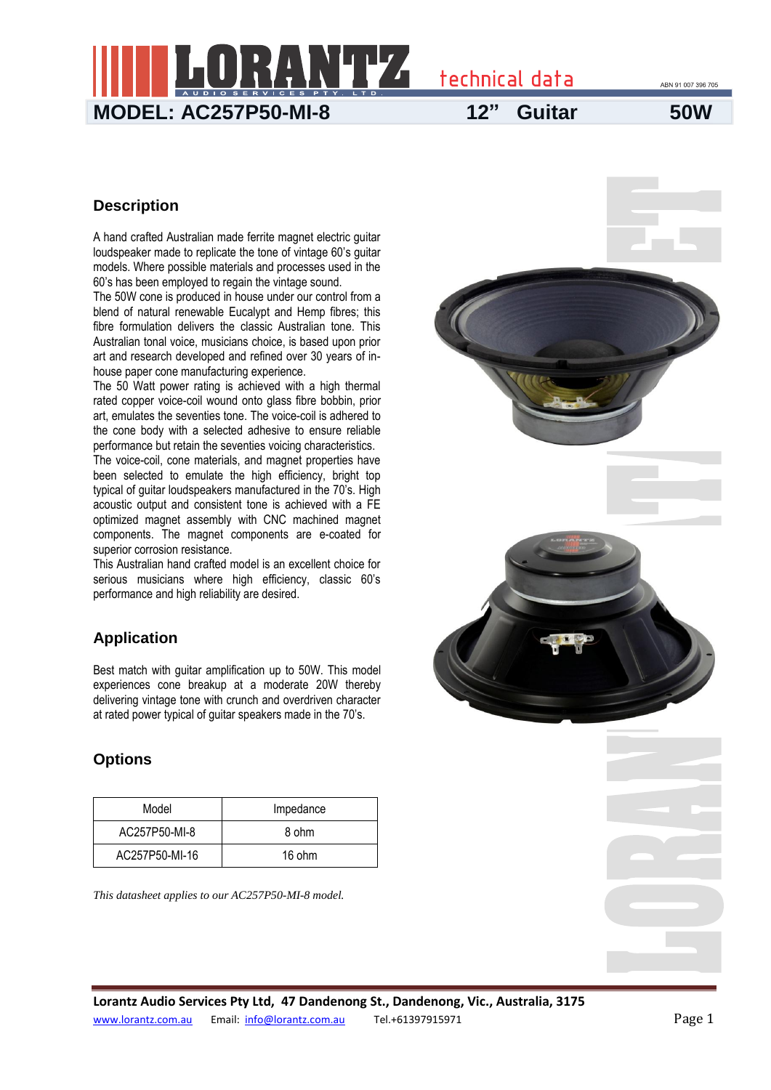

#### **Description**

A hand crafted Australian made ferrite magnet electric guitar loudspeaker made to replicate the tone of vintage 60's guitar models. Where possible materials and processes used in the 60's has been employed to regain the vintage sound.

The 50W cone is produced in house under our control from a blend of natural renewable Eucalypt and Hemp fibres; this fibre formulation delivers the classic Australian tone. This Australian tonal voice, musicians choice, is based upon prior art and research developed and refined over 30 years of inhouse paper cone manufacturing experience.

The 50 Watt power rating is achieved with a high thermal rated copper voice-coil wound onto glass fibre bobbin, prior art, emulates the seventies tone. The voice-coil is adhered to the cone body with a selected adhesive to ensure reliable performance but retain the seventies voicing characteristics.

The voice-coil, cone materials, and magnet properties have been selected to emulate the high efficiency, bright top typical of guitar loudspeakers manufactured in the 70's. High acoustic output and consistent tone is achieved with a FE optimized magnet assembly with CNC machined magnet components. The magnet components are e-coated for superior corrosion resistance.

This Australian hand crafted model is an excellent choice for serious musicians where high efficiency, classic 60's performance and high reliability are desired.

## **Application**

Best match with guitar amplification up to 50W. This model experiences cone breakup at a moderate 20W thereby delivering vintage tone with crunch and overdriven character at rated power typical of guitar speakers made in the 70's.

## **Options**

| Model          | Impedance |  |  |
|----------------|-----------|--|--|
| AC257P50-MI-8  | 8 ohm     |  |  |
| AC257P50-MI-16 | 16 ohm    |  |  |

*This datasheet applies to our AC257P50-MI-8 model.*